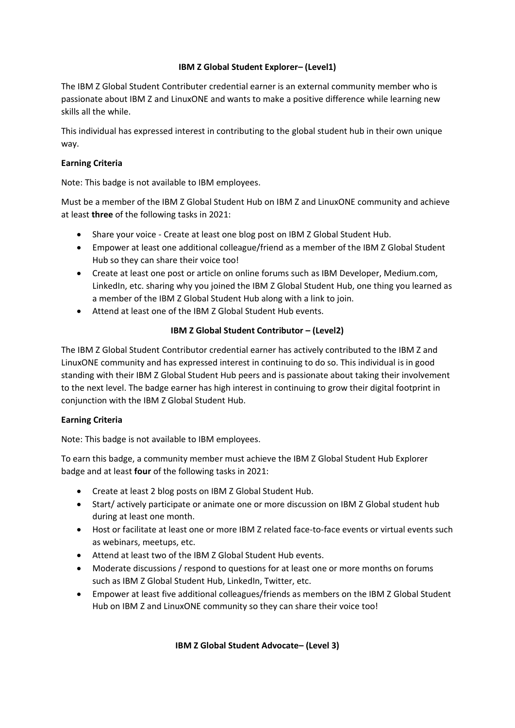## **IBM Z Global Student Explorer– (Level1)**

The IBM Z Global Student Contributer credential earner is an external community member who is passionate about IBM Z and LinuxONE and wants to make a positive difference while learning new skills all the while.

This individual has expressed interest in contributing to the global student hub in their own unique way.

## **Earning Criteria**

Note: This badge is not available to IBM employees.

Must be a member of the IBM Z Global Student Hub on IBM Z and LinuxONE community and achieve at least **three** of the following tasks in 2021:

- Share your voice Create at least one blog post on IBM Z Global Student Hub.
- Empower at least one additional colleague/friend as a member of the IBM Z Global Student Hub so they can share their voice too!
- Create at least one post or article on online forums such as IBM Developer, Medium.com, LinkedIn, etc. sharing why you joined the IBM Z Global Student Hub, one thing you learned as a member of the IBM Z Global Student Hub along with a link to join.
- Attend at least one of the IBM Z Global Student Hub events.

## **IBM Z Global Student Contributor – (Level2)**

The IBM Z Global Student Contributor credential earner has actively contributed to the IBM Z and LinuxONE community and has expressed interest in continuing to do so. This individual is in good standing with their IBM Z Global Student Hub peers and is passionate about taking their involvement to the next level. The badge earner has high interest in continuing to grow their digital footprint in conjunction with the IBM Z Global Student Hub.

## **Earning Criteria**

Note: This badge is not available to IBM employees.

To earn this badge, a community member must achieve the IBM Z Global Student Hub Explorer badge and at least **four** of the following tasks in 2021:

- Create at least 2 blog posts on IBM Z Global Student Hub.
- Start/ actively participate or animate one or more discussion on IBM Z Global student hub during at least one month.
- Host or facilitate at least one or more IBM Z related face-to-face events or virtual events such as webinars, meetups, etc.
- Attend at least two of the IBM Z Global Student Hub events.
- Moderate discussions / respond to questions for at least one or more months on forums such as IBM Z Global Student Hub, LinkedIn, Twitter, etc.
- Empower at least five additional colleagues/friends as members on the IBM Z Global Student Hub on IBM Z and LinuxONE community so they can share their voice too!

## **IBM Z Global Student Advocate– (Level 3)**